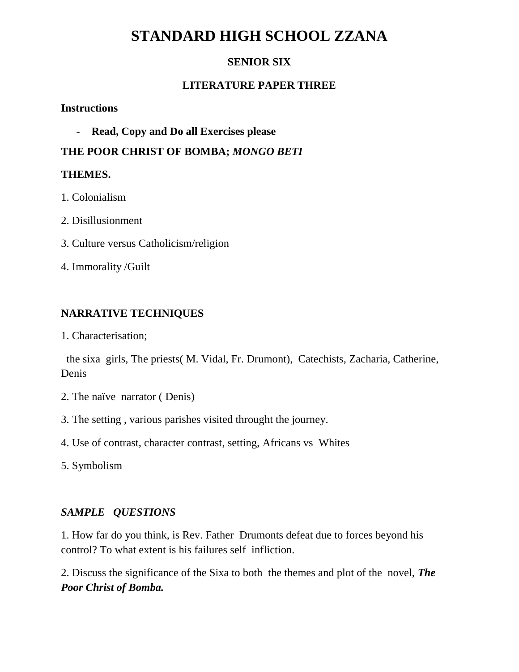# **STANDARD HIGH SCHOOL ZZANA**

# **SENIOR SIX**

# **LITERATURE PAPER THREE**

#### **Instructions**

- **Read, Copy and Do all Exercises please**

**THE POOR CHRIST OF BOMBA;** *MONGO BETI*

### **THEMES.**

- 1. Colonialism
- 2. Disillusionment
- 3. Culture versus Catholicism/religion
- 4. Immorality /Guilt

# **NARRATIVE TECHNIQUES**

1. Characterisation;

 the sixa girls, The priests( M. Vidal, Fr. Drumont), Catechists, Zacharia, Catherine, Denis

- 2. The naïve narrator ( Denis)
- 3. The setting , various parishes visited throught the journey.
- 4. Use of contrast, character contrast, setting, Africans vs Whites

5. Symbolism

# *SAMPLE QUESTIONS*

1. How far do you think, is Rev. Father Drumonts defeat due to forces beyond his control? To what extent is his failures self infliction.

2. Discuss the significance of the Sixa to both the themes and plot of the novel, *The Poor Christ of Bomba.*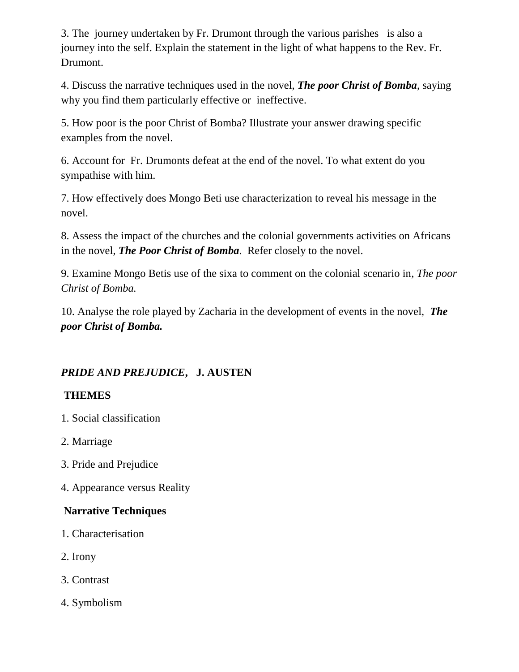3. The journey undertaken by Fr. Drumont through the various parishes is also a journey into the self. Explain the statement in the light of what happens to the Rev. Fr. Drumont.

4. Discuss the narrative techniques used in the novel, *The poor Christ of Bomba*, saying why you find them particularly effective or ineffective.

5. How poor is the poor Christ of Bomba? Illustrate your answer drawing specific examples from the novel.

6. Account for Fr. Drumonts defeat at the end of the novel. To what extent do you sympathise with him.

7. How effectively does Mongo Beti use characterization to reveal his message in the novel.

8. Assess the impact of the churches and the colonial governments activities on Africans in the novel, *The Poor Christ of Bomba*. Refer closely to the novel.

9. Examine Mongo Betis use of the sixa to comment on the colonial scenario in*, The poor Christ of Bomba.*

10. Analyse the role played by Zacharia in the development of events in the novel, *The poor Christ of Bomba.*

# *PRIDE AND PREJUDICE***, J. AUSTEN**

# **THEMES**

- 1. Social classification
- 2. Marriage
- 3. Pride and Prejudice
- 4. Appearance versus Reality

# **Narrative Techniques**

- 1. Characterisation
- 2. Irony
- 3. Contrast
- 4. Symbolism